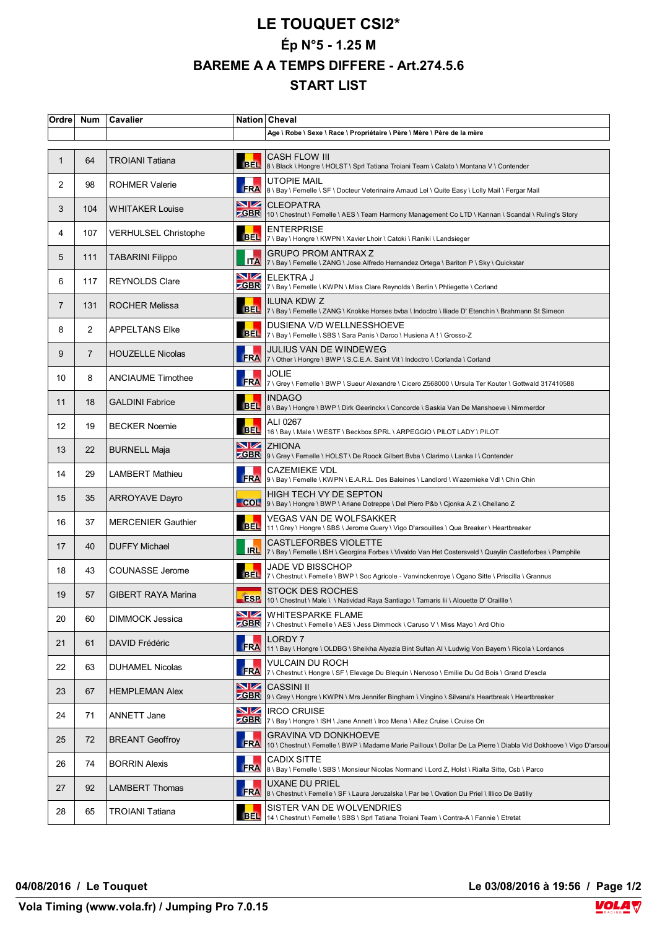## **LE TOUQUET CSI2\* Ép N°5 - 1.25 M BAREME A A TEMPS DIFFERE - Art.274.5.6 START LIST**

| Ordre             | <b>Num</b>     | Cavalier                    |                    | Nation Cheval                                                                                                                                    |
|-------------------|----------------|-----------------------------|--------------------|--------------------------------------------------------------------------------------------------------------------------------------------------|
|                   |                |                             |                    | Age \ Robe \ Sexe \ Race \ Propriétaire \ Père \ Mère \ Père de la mère                                                                          |
| $\mathbf{1}$      | 64             | <b>TROIANI Tatiana</b>      | <b>BEL</b>         | <b>CASH FLOW III</b><br>8 \ Black \ Hongre \ HOLST \ Sprl Tatiana Troiani Team \ Calato \ Montana V \ Contender                                  |
| 2                 | 98             | <b>ROHMER Valerie</b>       | <b>FRA</b>         | <b>UTOPIE MAIL</b><br>8 \ Bay \ Femelle \ SF \ Docteur Veterinaire Arnaud Lel \ Quite Easy \ Lolly Mail \ Fergar Mail                            |
| 3                 | 104            | <b>WHITAKER Louise</b>      | NZ.<br><b>ZGBR</b> | <b>CLEOPATRA</b><br>10 \ Chestnut \ Femelle \ AES \ Team Harmony Management Co LTD \ Kannan \ Scandal \ Ruling's Story                           |
| 4                 | 107            | <b>VERHULSEL Christophe</b> | <b>BEL</b>         | <b>ENTERPRISE</b><br>7 \ Bay \ Hongre \ KWPN \ Xavier Lhoir \ Catoki \ Raniki \ Landsieger                                                       |
| 5                 | 111            | <b>TABARINI Filippo</b>     |                    | <b>GRUPO PROM ANTRAX Z</b><br>TTA 7   7 \ Bay \ Femelle \ ZANG \ Jose Alfredo Hernandez Ortega \ Bariton P \ Sky \ Quickstar                     |
| 6                 | 117            | <b>REYNOLDS Clare</b>       | <u>NZ</u>          | ELEKTRA J<br>ZGBR 7 \ Bay \ Femelle \ KWPN \ Miss Clare Reynolds \ Berlin \ Phliegette \ Corland                                                 |
| $\overline{7}$    | 131            | ROCHER Melissa              | <b>BEL</b>         | <b>ILUNA KDW Z</b><br>7 \ Bay \ Femelle \ ZANG \ Knokke Horses bvba \ Indoctro \ Iliade D' Etenchin \ Brahmann St Simeon                         |
| 8                 | 2              | <b>APPELTANS Elke</b>       | <b>BEL</b>         | DUSIENA V/D WELLNESSHOEVE<br>7 \ Bay \ Femelle \ SBS \ Sara Panis \ Darco \ Husiena A! \ Grosso-Z                                                |
| 9                 | $\overline{7}$ | <b>HOUZELLE Nicolas</b>     | <b>FRA</b>         | JULIUS VAN DE WINDEWEG<br>7 \ Other \ Hongre \ BWP \ S.C.E.A. Saint Vit \ Indoctro \ Corlanda \ Corland                                          |
| 10                | 8              | <b>ANCIAUME Timothee</b>    | FRA                | JOLIE<br>7 \ Grey \ Femelle \ BWP \ Sueur Alexandre \ Cicero Z568000 \ Ursula Ter Kouter \ Gottwald 317410588                                    |
| 11                | 18             | <b>GALDINI Fabrice</b>      |                    | <b>INDAGO</b><br>BEL 8\Bay \ Hongre \ BWP \ Dirk Geerinckx \ Concorde \ Saskia Van De Manshoeve \ Nimmerdor                                      |
| $12 \overline{ }$ | 19             | <b>BECKER Noemie</b>        | BEL.               | ALI 0267<br>16 \ Bay \ Male \ WESTF \ Beckbox SPRL \ ARPEGGIO \ PILOT LADY \ PILOT                                                               |
| 13                | 22             | <b>BURNELL Maja</b>         | NZ.                | <b>ZHIONA</b><br>CGBR 9 \ Grey \ Femelle \ HOLST \ De Roock Gilbert Bvba \ Clarimo \ Lanka I \ Contender                                         |
| 14                | 29             | LAMBERT Mathieu             | <b>FRA</b>         | <b>CAZEMIEKE VDL</b><br>9 \ Bay \ Femelle \ KWPN \ E.A.R.L. Des Baleines \ Landlord \ Wazemieke Vdl \ Chin Chin                                  |
| 15                | 35             | <b>ARROYAVE Dayro</b>       | COL                | <b>HIGH TECH VY DE SEPTON</b><br>9 \ Bay \ Hongre \ BWP \ Ariane Dotreppe \ Del Piero P&b \ Cjonka A Z \ Chellano Z                              |
| 16                | 37             | <b>MERCENIER Gauthier</b>   | <b>BEL</b>         | VEGAS VAN DE WOLFSAKKER<br>11 \ Grey \ Hongre \ SBS \ Jerome Guery \ Vigo D'arsouilles \ Qua Breaker \ Heartbreaker                              |
| 17                | 40             | <b>DUFFY Michael</b>        | <b>IRL</b>         | <b>CASTLEFORBES VIOLETTE</b><br>7 \ Bay \ Femelle \ ISH \ Georgina Forbes \ Vivaldo Van Het Costersveld \ Quaylin Castleforbes \ Pamphile        |
| 18                | 43             | COUNASSE Jerome             | <b>BEL</b>         | JADE VD BISSCHOP<br>7 \ Chestnut \ Femelle \ BWP \ Soc Agricole - Vanvinckenroye \ Ogano Sitte \ Priscilla \ Grannus                             |
| 19                | 57             | <b>GIBERT RAYA Marina</b>   | <b>ESP</b>         | <b>STOCK DES ROCHES</b><br>10 \ Chestnut \ Male \ \ Natividad Raya Santiago \ Tamaris lii \ Alouette D' Oraillle \                               |
| 20                | 60             | DIMMOCK Jessica             | VZ<br><b>ZGBR</b>  | <b>WHITESPARKE FLAME</b><br>7 \ Chestnut \ Femelle \ AES \ Jess Dimmock \ Caruso V \ Miss Mayo \ Ard Ohio                                        |
| 21                | 61             | DAVID Frédéric              | <b>ERA</b>         | LORDY 7<br>11 \ Bay \ Hongre \ OLDBG \ Sheikha Alyazia Bint Sultan Al \ Ludwig Von Bayern \ Ricola \ Lordanos                                    |
| 22                | 63             | <b>DUHAMEL Nicolas</b>      | FRA                | <b>VULCAIN DU ROCH</b><br>7 \ Chestnut \ Hongre \ SF \ Elevage Du Blequin \ Nervoso \ Emilie Du Gd Bois \ Grand D'escla                          |
| 23                | 67             | <b>HEMPLEMAN Alex</b>       | VZ                 | <b>CASSINI II</b><br><b>ZGBR</b>   9 \ Grey \ Hongre \ KWPN \ Mrs Jennifer Bingham \ Vingino \ Silvana's Heartbreak \ Heartbreaker               |
| 24                | 71             | ANNETT Jane                 | 9Z                 | <b>IRCO CRUISE</b><br>ZGBR 7 \ Bay \ Hongre \ ISH \ Jane Annett \ Irco Mena \ Allez Cruise \ Cruise On                                           |
| 25                | 72             | <b>BREANT Geoffroy</b>      | <b>FRA</b>         | <b>GRAVINA VD DONKHOEVE</b><br>10 \ Chestnut \ Femelle \ BWP \ Madame Marie Pailloux \ Dollar De La Pierre \ Diabla V/d Dokhoeve \ Vigo D'arsoui |
| 26                | 74             | <b>BORRIN Alexis</b>        | <b>FRA</b>         | <b>CADIX SITTE</b><br>8 \ Bay \ Femelle \ SBS \ Monsieur Nicolas Normand \ Lord Z, Holst \ Rialta Sitte, Csb \ Parco                             |
| 27                | 92             | LAMBERT Thomas              | <b>FRA</b>         | UXANE DU PRIEL<br>8 \ Chestnut \ Femelle \ SF \ Laura Jeruzalska \ Par Ixe \ Ovation Du Priel \ Illico De Batilly                                |
| 28                | 65             | TROIANI Tatiana             | BEL.               | SISTER VAN DE WOLVENDRIES<br>14 \ Chestnut \ Femelle \ SBS \ Sprl Tatiana Troiani Team \ Contra-A \ Fannie \ Etretat                             |